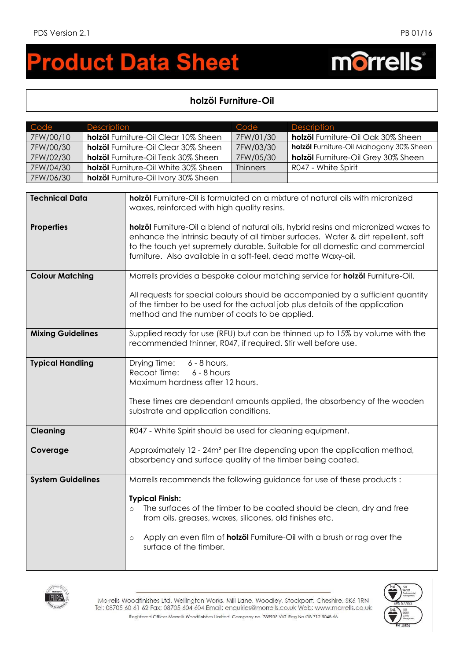## **roduct Data Sheet**  $\blacksquare$

## **morrells**

## **holzöl Furniture-Oil**

| Code                     | <b>Description</b>                   |                                                                                                                                                                                                                                                                                                                            | Code            | <b>Description</b>                                                                                                                                                                                                               |
|--------------------------|--------------------------------------|----------------------------------------------------------------------------------------------------------------------------------------------------------------------------------------------------------------------------------------------------------------------------------------------------------------------------|-----------------|----------------------------------------------------------------------------------------------------------------------------------------------------------------------------------------------------------------------------------|
| 7FW/00/10                |                                      | holzöl Furniture-Oil Clear 10% Sheen                                                                                                                                                                                                                                                                                       | 7FW/01/30       | holzöl Furniture-Oil Oak 30% Sheen                                                                                                                                                                                               |
| 7FW/00/30                | holzöl Furniture-Oil Clear 30% Sheen |                                                                                                                                                                                                                                                                                                                            | 7FW/03/30       | holzöl Furniture-Oil Mahogany 30% Sheen                                                                                                                                                                                          |
| 7FW/02/30                | holzöl Furniture-Oil Teak 30% Sheen  |                                                                                                                                                                                                                                                                                                                            | 7FW/05/30       | holzöl Furniture-Oil Grey 30% Sheen                                                                                                                                                                                              |
| 7FW/04/30                | holzöl Furniture-Oil White 30% Sheen |                                                                                                                                                                                                                                                                                                                            | <b>Thinners</b> | R047 - White Spirit                                                                                                                                                                                                              |
| 7FW/06/30                |                                      | holzöl Furniture-Oil Ivory 30% Sheen                                                                                                                                                                                                                                                                                       |                 |                                                                                                                                                                                                                                  |
|                          |                                      |                                                                                                                                                                                                                                                                                                                            |                 |                                                                                                                                                                                                                                  |
| <b>Technical Data</b>    |                                      | holzöl Furniture-Oil is formulated on a mixture of natural oils with micronized<br>waxes, reinforced with high quality resins.                                                                                                                                                                                             |                 |                                                                                                                                                                                                                                  |
| <b>Properties</b>        |                                      | holzöl Furniture-Oil a blend of natural oils, hybrid resins and micronized waxes to<br>enhance the intrinsic beauty of all timber surfaces. Water & dirt repellent, soft<br>to the touch yet supremely durable. Suitable for all domestic and commercial<br>furniture. Also available in a soft-feel, dead matte Waxy-oil. |                 |                                                                                                                                                                                                                                  |
| <b>Colour Matching</b>   |                                      | Morrells provides a bespoke colour matching service for holzöl Furniture-Oil.<br>All requests for special colours should be accompanied by a sufficient quantity<br>of the timber to be used for the actual job plus details of the application<br>method and the number of coats to be applied.                           |                 |                                                                                                                                                                                                                                  |
| <b>Mixing Guidelines</b> |                                      | Supplied ready for use (RFU) but can be thinned up to 15% by volume with the<br>recommended thinner, R047, if required. Stir well before use.                                                                                                                                                                              |                 |                                                                                                                                                                                                                                  |
| <b>Typical Handling</b>  |                                      | $6 - 8$ hours,<br>Drying Time:<br>Recoat Time:<br>$6 - 8$ hours<br>Maximum hardness after 12 hours.<br>These times are dependant amounts applied, the absorbency of the wooden<br>substrate and application conditions.                                                                                                    |                 |                                                                                                                                                                                                                                  |
| <b>Cleaning</b>          |                                      | R047 - White Spirit should be used for cleaning equipment.                                                                                                                                                                                                                                                                 |                 |                                                                                                                                                                                                                                  |
| Coverage                 |                                      | Approximately 12 - 24m <sup>2</sup> per litre depending upon the application method,<br>absorbency and surface quality of the timber being coated.                                                                                                                                                                         |                 |                                                                                                                                                                                                                                  |
| <b>System Guidelines</b> |                                      | <b>Typical Finish:</b><br>from oils, greases, waxes, silicones, old finishes etc.<br>$\circ$<br>surface of the timber.                                                                                                                                                                                                     |                 | Morrells recommends the following guidance for use of these products:<br>The surfaces of the timber to be coated should be clean, dry and free<br>Apply an even film of <b>holzöl</b> Furniture-Oil with a brush or rag over the |